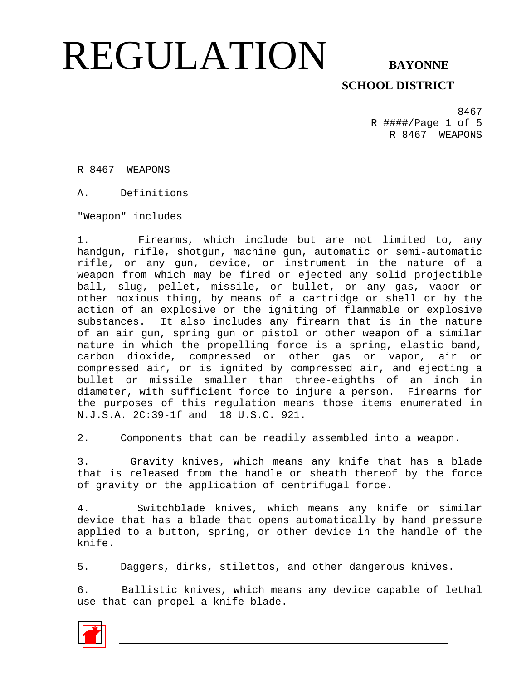### **SCHOOL DISTRICT**

8467 R ####/Page 1 of 5 R 8467 WEAPONS

R 8467 WEAPONS

A. Definitions

"Weapon" includes

1. Firearms, which include but are not limited to, any handgun, rifle, shotgun, machine gun, automatic or semi-automatic rifle, or any gun, device, or instrument in the nature of a weapon from which may be fired or ejected any solid projectible ball, slug, pellet, missile, or bullet, or any gas, vapor or other noxious thing, by means of a cartridge or shell or by the action of an explosive or the igniting of flammable or explosive substances. It also includes any firearm that is in the nature of an air gun, spring gun or pistol or other weapon of a similar nature in which the propelling force is a spring, elastic band, carbon dioxide, compressed or other gas or vapor, air or compressed air, or is ignited by compressed air, and ejecting a bullet or missile smaller than three-eighths of an inch in diameter, with sufficient force to injure a person. Firearms for the purposes of this regulation means those items enumerated in N.J.S.A. 2C:39-1f and 18 U.S.C. 921.

2. Components that can be readily assembled into a weapon.

3. Gravity knives, which means any knife that has a blade that is released from the handle or sheath thereof by the force of gravity or the application of centrifugal force.

4. Switchblade knives, which means any knife or similar device that has a blade that opens automatically by hand pressure applied to a button, spring, or other device in the handle of the knife.

5. Daggers, dirks, stilettos, and other dangerous knives.

6. Ballistic knives, which means any device capable of lethal use that can propel a knife blade.

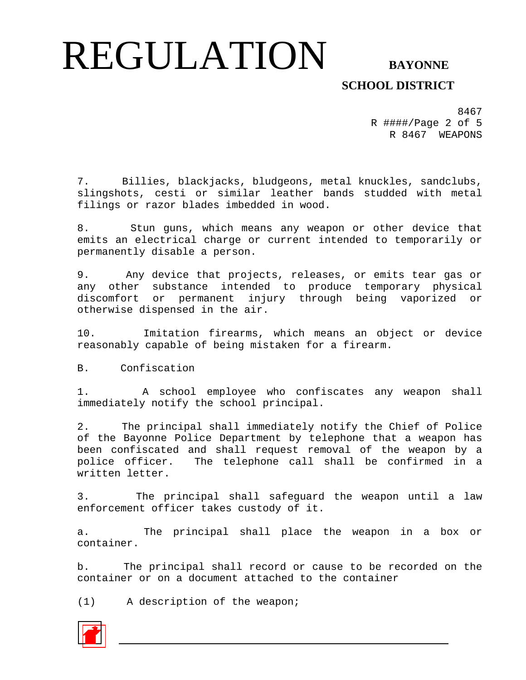#### **SCHOOL DISTRICT**

8467 R ####/Page 2 of 5 R 8467 WEAPONS

7. Billies, blackjacks, bludgeons, metal knuckles, sandclubs, slingshots, cesti or similar leather bands studded with metal filings or razor blades imbedded in wood.

8. Stun guns, which means any weapon or other device that emits an electrical charge or current intended to temporarily or permanently disable a person.

9. Any device that projects, releases, or emits tear gas or any other substance intended to produce temporary physical discomfort or permanent injury through being vaporized or otherwise dispensed in the air.

10. Imitation firearms, which means an object or device reasonably capable of being mistaken for a firearm.

B. Confiscation

1. A school employee who confiscates any weapon shall immediately notify the school principal.

2. The principal shall immediately notify the Chief of Police of the Bayonne Police Department by telephone that a weapon has been confiscated and shall request removal of the weapon by a police officer. The telephone call shall be confirmed in a written letter.

3. The principal shall safeguard the weapon until a law enforcement officer takes custody of it.

a. The principal shall place the weapon in a box or container.

b. The principal shall record or cause to be recorded on the container or on a document attached to the container

(1) A description of the weapon;

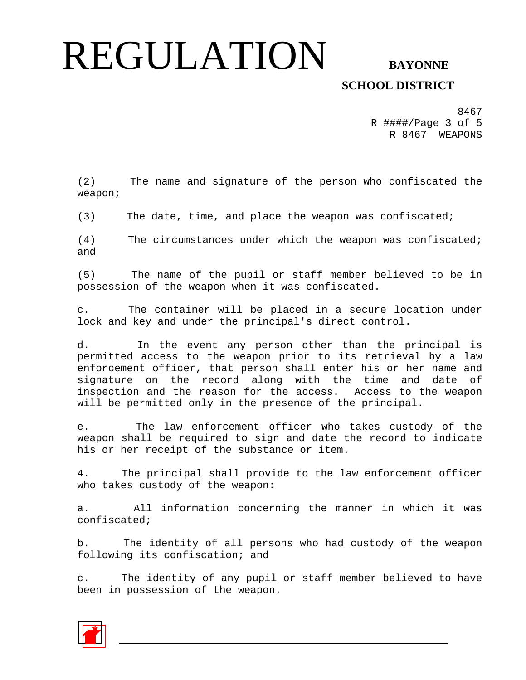### **SCHOOL DISTRICT**

8467 R ####/Page 3 of 5 R 8467 WEAPONS

(2) The name and signature of the person who confiscated the weapon;

(3) The date, time, and place the weapon was confiscated;

(4) The circumstances under which the weapon was confiscated; and

(5) The name of the pupil or staff member believed to be in possession of the weapon when it was confiscated.

c. The container will be placed in a secure location under lock and key and under the principal's direct control.

d. In the event any person other than the principal is permitted access to the weapon prior to its retrieval by a law enforcement officer, that person shall enter his or her name and signature on the record along with the time and date of inspection and the reason for the access. Access to the weapon will be permitted only in the presence of the principal.

e. The law enforcement officer who takes custody of the weapon shall be required to sign and date the record to indicate his or her receipt of the substance or item.

4. The principal shall provide to the law enforcement officer who takes custody of the weapon:

a. All information concerning the manner in which it was confiscated;

b. The identity of all persons who had custody of the weapon following its confiscation; and

c. The identity of any pupil or staff member believed to have been in possession of the weapon.

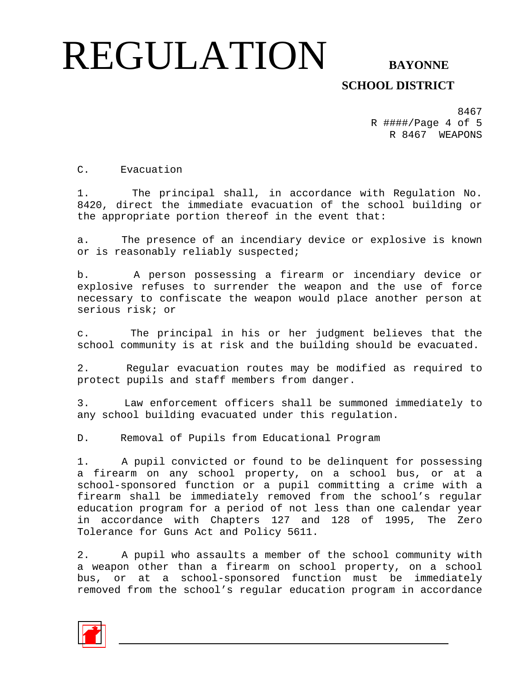#### **SCHOOL DISTRICT**

8467 R ####/Page 4 of 5 R 8467 WEAPONS

C. Evacuation

1. The principal shall, in accordance with Regulation No. 8420, direct the immediate evacuation of the school building or the appropriate portion thereof in the event that:

a. The presence of an incendiary device or explosive is known or is reasonably reliably suspected;

b. A person possessing a firearm or incendiary device or explosive refuses to surrender the weapon and the use of force necessary to confiscate the weapon would place another person at serious risk; or

c. The principal in his or her judgment believes that the school community is at risk and the building should be evacuated.

2. Regular evacuation routes may be modified as required to protect pupils and staff members from danger.

3. Law enforcement officers shall be summoned immediately to any school building evacuated under this regulation.

D. Removal of Pupils from Educational Program

1. A pupil convicted or found to be delinquent for possessing a firearm on any school property, on a school bus, or at a school-sponsored function or a pupil committing a crime with a firearm shall be immediately removed from the school's regular education program for a period of not less than one calendar year in accordance with Chapters 127 and 128 of 1995, The Zero Tolerance for Guns Act and Policy 5611.

2. A pupil who assaults a member of the school community with a weapon other than a firearm on school property, on a school bus, or at a school-sponsored function must be immediately removed from the school's regular education program in accordance